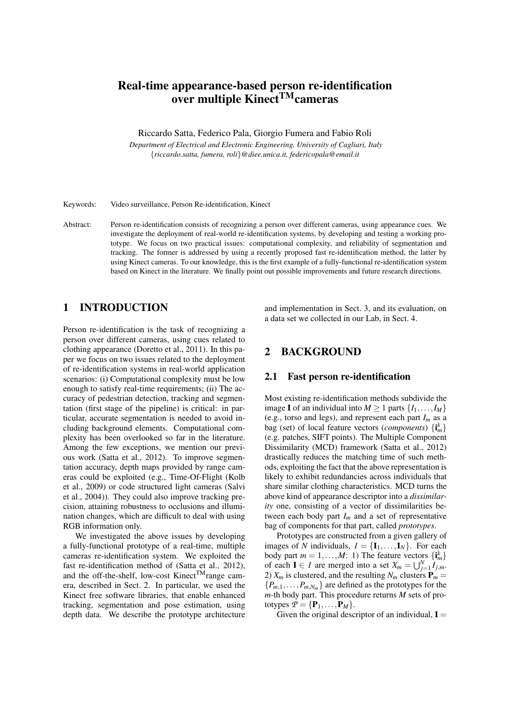# Real-time appearance-based person re-identification over multiple Kinect<sup>TM</sup>cameras

Riccardo Satta, Federico Pala, Giorgio Fumera and Fabio Roli

*Department of Electrical and Electronic Engineering, University of Cagliari, Italy* {*riccardo.satta, fumera, roli*}*@diee.unica.it, federicopala@email.it*

Keywords: Video surveillance, Person Re-identification, Kinect

Abstract: Person re-identification consists of recognizing a person over different cameras, using appearance cues. We investigate the deployment of real-world re-identification systems, by developing and testing a working prototype. We focus on two practical issues: computational complexity, and reliability of segmentation and tracking. The former is addressed by using a recently proposed fast re-identification method, the latter by using Kinect cameras. To our knowledge, this is the first example of a fully-functional re-identification system based on Kinect in the literature. We finally point out possible improvements and future research directions.

# 1 INTRODUCTION

Person re-identification is the task of recognizing a person over different cameras, using cues related to clothing appearance (Doretto et al., 2011). In this paper we focus on two issues related to the deployment of re-identification systems in real-world application scenarios: (i) Computational complexity must be low enough to satisfy real-time requirements; (ii) The accuracy of pedestrian detection, tracking and segmentation (first stage of the pipeline) is critical: in particular, accurate segmentation is needed to avoid including background elements. Computational complexity has been overlooked so far in the literature. Among the few exceptions, we mention our previous work (Satta et al., 2012). To improve segmentation accuracy, depth maps provided by range cameras could be exploited (e.g., Time-Of-Flight (Kolb et al., 2009) or code structured light cameras (Salvi et al., 2004)). They could also improve tracking precision, attaining robustness to occlusions and illumination changes, which are difficult to deal with using RGB information only.

We investigated the above issues by developing a fully-functional prototype of a real-time, multiple cameras re-identification system. We exploited the fast re-identification method of (Satta et al., 2012), and the off-the-shelf, low-cost Kinect<sup>TM</sup>range camera, described in Sect. 2. In particular, we used the Kinect free software libraries, that enable enhanced tracking, segmentation and pose estimation, using depth data. We describe the prototype architecture and implementation in Sect. 3, and its evaluation, on a data set we collected in our Lab, in Sect. 4.

## 2 BACKGROUND

#### 2.1 Fast person re-identification

Most existing re-identification methods subdivide the image **I** of an individual into  $M > 1$  parts  $\{I_1, \ldots, I_M\}$ (e.g., torso and legs), and represent each part  $I_m$  as a bag (set) of local feature vectors (*components*)  $\{i_m^k\}$ (e.g. patches, SIFT points). The Multiple Component Dissimilarity (MCD) framework (Satta et al., 2012) drastically reduces the matching time of such methods, exploiting the fact that the above representation is likely to exhibit redundancies across individuals that share similar clothing characteristics. MCD turns the above kind of appearance descriptor into a *dissimilarity* one, consisting of a vector of dissimilarities between each body part  $I_m$  and a set of representative bag of components for that part, called *prototypes*.

Prototypes are constructed from a given gallery of images of *N* individuals,  $I = \{I_1, \ldots, I_N\}$ . For each body part  $m = 1, ..., M$ : 1) The feature vectors  $\{\mathbf{i}_m^k\}$ of each  $I \in I$  are merged into a set  $X_m = \bigcup_{j=1}^N I_{j,m}$ . 2)  $X_m$  is clustered, and the resulting  $N_m$  clusters  $\mathbf{P}_m =$  ${P_{m,1}, \ldots, P_{m,N_m}}$  are defined as the prototypes for the *m*-th body part. This procedure returns *M* sets of prototypes  $P = \{P_1, \ldots, P_M\}.$ 

Given the original descriptor of an individual,  $I =$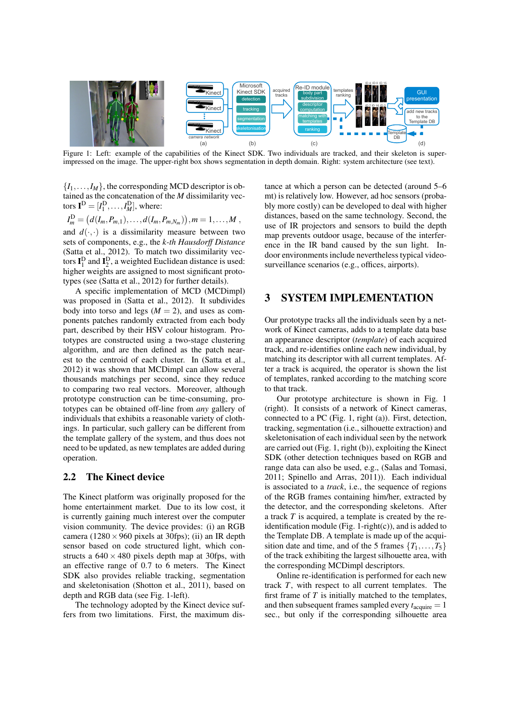

Figure 1: Left: example of the capabilities of the Kinect SDK. Two individuals are tracked, and their skeleton is superimpressed on the image. The upper-right box shows segmentation in depth domain. Right: system architecture (see text).

 $\{I_1,\ldots,I_M\}$ , the corresponding MCD descriptor is obtained as the concatenation of the *M* dissimilarity vectors  $\mathbf{I}^{\text{D}} = [I_1^{\text{D}}, \dots, I_M^{\text{D}}]$ , where:

$$
I_m^D = (d(I_m, P_{m,1}), \ldots, d(I_m, P_{m,N_m})), m = 1, \ldots, M,
$$

and  $d(\cdot, \cdot)$  is a dissimilarity measure between two sets of components, e.g., the *k-th Hausdorff Distance* (Satta et al., 2012). To match two dissimilarity vectors  $\mathbf{I}_1^{\text{D}}$  and  $\mathbf{I}_2^{\text{D}}$ , a weighted Euclidean distance is used: higher weights are assigned to most significant prototypes (see (Satta et al., 2012) for further details).

A specific implementation of MCD (MCDimpl) was proposed in (Satta et al., 2012). It subdivides body into torso and legs  $(M = 2)$ , and uses as components patches randomly extracted from each body part, described by their HSV colour histogram. Prototypes are constructed using a two-stage clustering algorithm, and are then defined as the patch nearest to the centroid of each cluster. In (Satta et al., 2012) it was shown that MCDimpl can allow several thousands matchings per second, since they reduce to comparing two real vectors. Moreover, although prototype construction can be time-consuming, prototypes can be obtained off-line from *any* gallery of individuals that exhibits a reasonable variety of clothings. In particular, such gallery can be different from the template gallery of the system, and thus does not need to be updated, as new templates are added during operation.

#### 2.2 The Kinect device

The Kinect platform was originally proposed for the home entertainment market. Due to its low cost, it is currently gaining much interest over the computer vision community. The device provides: (i) an RGB camera (1280  $\times$  960 pixels at 30fps); (ii) an IR depth sensor based on code structured light, which constructs a  $640 \times 480$  pixels depth map at 30fps, with an effective range of 0.7 to 6 meters. The Kinect SDK also provides reliable tracking, segmentation and skeletonisation (Shotton et al., 2011), based on depth and RGB data (see Fig. 1-left).

The technology adopted by the Kinect device suffers from two limitations. First, the maximum distance at which a person can be detected (around 5–6 mt) is relatively low. However, ad hoc sensors (probably more costly) can be developed to deal with higher distances, based on the same technology. Second, the use of IR projectors and sensors to build the depth map prevents outdoor usage, because of the interference in the IR band caused by the sun light. Indoor environments include nevertheless typical videosurveillance scenarios (e.g., offices, airports).

## 3 SYSTEM IMPLEMENTATION

Our prototype tracks all the individuals seen by a network of Kinect cameras, adds to a template data base an appearance descriptor (*template*) of each acquired track, and re-identifies online each new individual, by matching its descriptor with all current templates. After a track is acquired, the operator is shown the list of templates, ranked according to the matching score to that track.

Our prototype architecture is shown in Fig. 1 (right). It consists of a network of Kinect cameras, connected to a PC (Fig. 1, right (a)). First, detection, tracking, segmentation (i.e., silhouette extraction) and skeletonisation of each individual seen by the network are carried out (Fig. 1, right (b)), exploiting the Kinect SDK (other detection techniques based on RGB and range data can also be used, e.g., (Salas and Tomasi, 2011; Spinello and Arras, 2011)). Each individual is associated to a *track*, i.e., the sequence of regions of the RGB frames containing him/her, extracted by the detector, and the corresponding skeletons. After a track *T* is acquired, a template is created by the reidentification module (Fig. 1-right $(c)$ ), and is added to the Template DB. A template is made up of the acquisition date and time, and of the 5 frames  $\{T_1, \ldots, T_5\}$ of the track exhibiting the largest silhouette area, with the corresponding MCDimpl descriptors.

Online re-identification is performed for each new track *T*, with respect to all current templates. The first frame of  $T$  is initially matched to the templates, and then subsequent frames sampled every  $t_{\text{acquire}} = 1$ sec., but only if the corresponding silhouette area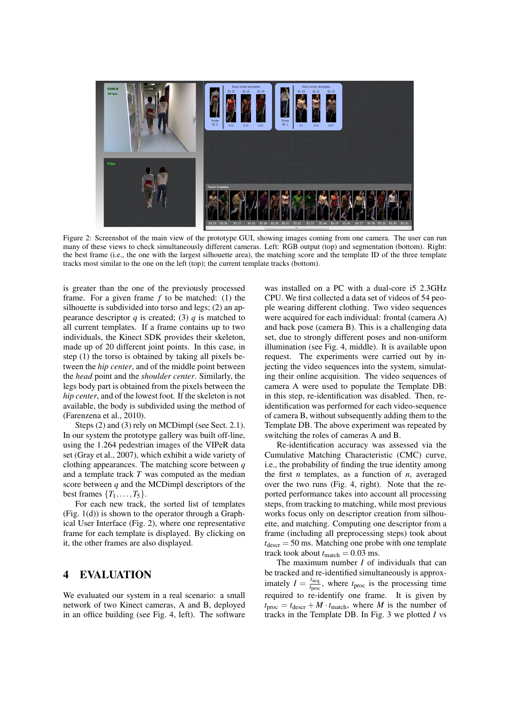

Figure 2: Screenshot of the main view of the prototype GUI, showing images coming from one camera. The user can run many of these views to check simultaneously different cameras. Left: RGB output (top) and segmentation (bottom). Right: the best frame (i.e., the one with the largest silhouette area), the matching score and the template ID of the three template tracks most similar to the one on the left (top); the current template tracks (bottom).

is greater than the one of the previously processed frame. For a given frame *f* to be matched: (1) the silhouette is subdivided into torso and legs; (2) an appearance descriptor  $q$  is created; (3)  $q$  is matched to all current templates. If a frame contains up to two individuals, the Kinect SDK provides their skeleton, made up of 20 different joint points. In this case, in step (1) the torso is obtained by taking all pixels between the *hip center*, and of the middle point between the *head* point and the *shoulder center*. Similarly, the legs body part is obtained from the pixels between the *hip center*, and of the lowest foot. If the skeleton is not available, the body is subdivided using the method of (Farenzena et al., 2010).

Steps (2) and (3) rely on MCDimpl (see Sect. 2.1). In our system the prototype gallery was built off-line, using the 1.264 pedestrian images of the VIPeR data set (Gray et al., 2007), which exhibit a wide variety of clothing appearances. The matching score between *q* and a template track *T* was computed as the median score between *q* and the MCDimpl descriptors of the best frames  $\{T_1, \ldots, T_5\}$ .

For each new track, the sorted list of templates (Fig. 1(d)) is shown to the operator through a Graphical User Interface (Fig. 2), where one representative frame for each template is displayed. By clicking on it, the other frames are also displayed.

#### 4 EVALUATION

We evaluated our system in a real scenario: a small network of two Kinect cameras, A and B, deployed in an office building (see Fig. 4, left). The software

was installed on a PC with a dual-core i5 2.3GHz CPU. We first collected a data set of videos of 54 people wearing different clothing. Two video sequences were acquired for each individual: frontal (camera A) and back pose (camera B). This is a challenging data set, due to strongly different poses and non-uniform illumination (see Fig. 4, middle). It is available upon request. The experiments were carried out by injecting the video sequences into the system, simulating their online acquisition. The video sequences of camera A were used to populate the Template DB: in this step, re-identification was disabled. Then, reidentification was performed for each video-sequence of camera B, without subsequently adding them to the Template DB. The above experiment was repeated by switching the roles of cameras A and B.

Re-identification accuracy was assessed via the Cumulative Matching Characteristic (CMC) curve, i.e., the probability of finding the true identity among the first *n* templates, as a function of *n*, averaged over the two runs (Fig. 4, right). Note that the reported performance takes into account all processing steps, from tracking to matching, while most previous works focus only on descriptor creation from silhouette, and matching. Computing one descriptor from a frame (including all preprocessing steps) took about  $t_{\text{descr}} = 50$  ms. Matching one probe with one template track took about  $t_{\text{match}} = 0.03$  ms.

The maximum number *I* of individuals that can be tracked and re-identified simultaneously is approximately  $I = \frac{t_{\text{acq}}}{t_{\text{meas}}}$  $t_{\text{proc}}$ , where  $t_{\text{proc}}$  is the processing time required to re-identify one frame. It is given by  $t_{\text{proc}} = t_{\text{descr}} + M \cdot t_{\text{match}}$ , where *M* is the number of tracks in the Template DB. In Fig. 3 we plotted *I* vs